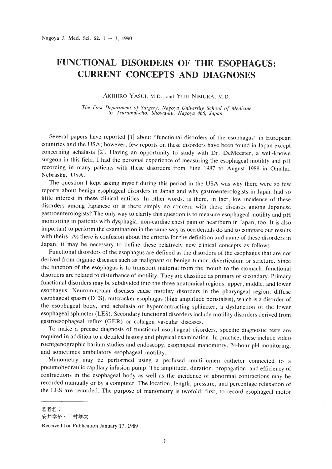## **FUNCTIONAL DISORDERS OF THE ESOPHAGUS: CURRENT CONCEPTS AND DIAGNOSES**

AKIHIRO YASUI, M.D., and YUJI NIMURA, M.D.

*The First Department of Surgery, Nagoya University School of Medicine 65 Tsurumai-cho, Showa-ku, Nagoya* 466, *Japan.*

Several papers have reported [1] about "functional disorders of the esophagus" in European countries and the USA; however, few reports on these disorders have been found in Japan except concerning achalasia [2]. Having an opportunity to study with Dr. DeMeester, a well-known surgeon in this field, I had the personal experience of measuring the esophageal motility and pH recording in many patients with these disorders from June 1987 to August 1988 in Omaha, Nebraska, USA.

The question I kept asking myself during this period in the USA was why there were so few reports about benign esophageal disorders in Japan and why gastroenterologists in Japan had so little interest in these clinical entities. In other words, is there, in fact, low incidence of these disorders among Japanese or is there simply no concern with these diseases among Japanese gastroenterologists? The only way to clarify this question is to measure esophageal motility and pH monitoring in patients with dysphagia, non-cardiac chest pain or heartburn in Japan, too. It is also important to perform the examination in the same way as occidentals do and to compare our results with theirs. As there is confusion about the criteria for the definition and name of these disorders in Japan, it may be necessary to define these relatively new clinical concepts as follows.

Functional disorders of the esophagus are defined as the disorders of the esophagus that are not derived from organic diseases such as malignant or benign tumor, diverticulum or stricture. Since the function of the esophagus is to transport material from the mouth to the stomach, functional disorders are related to disturbance of motility. They are classified as primary or secondary. Primary functional disorders may be subdivided into the three anatomical regions: upper, middle, and lower esophagus. Neuromuscular diseases cause motility disorders in the pharyngeal region, diffuse esophageal spasm (DES), nutcracker esophagus (high amplitude peristalsis), which is a disorder of the esophageal body, and achalasia or hypercontracting sphincter, a dysfunction of the lower esophageal sphincter (LES). Secondary functional disorders include motility disorders derived from gastroesophageal reflux (GER) or collagen vascular diseases.

To make a precise diagnosis of functional esophageal disorders, specific diagnostic tests are required in addition to a detailed history and physical examination. In practice, these include video roentgenographic barium studies and endoscopy, esophageal manometry, 24-hour pH monitoring, and sometimes ambulatory esophageal motility.

Manometry may be performed using a perfused multi-lumen catheter connected to a pneumohydraulic capillary infusion pump. The amplitude, duration, propagation, and efficiency of contractions in the esophageal body as well as the incidence of abnormal contractions may be recorded manually or by a computer. The location, length, pressure, and percentage relaxation of the LES are recorded. The purpose of manometry is twofold: first, to record esophageal motor

著者名:

安井章裕・二村雄次

Received for Publication January 17, 1989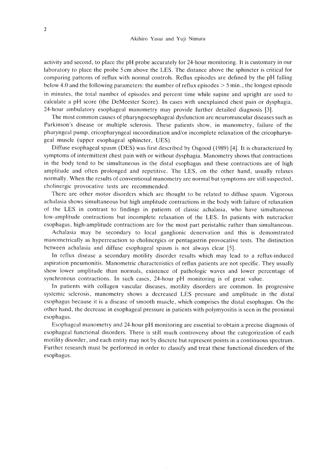activity and second, to place the pH probe accurately for 24-hour monitoring. It is customary in our laboratory to place the probe 5 cm above the LES. The distance above the sphincter is critical for comparing patterns of reflux with normal controls. Reflux episodes are defined by the pH falling below 4.0 and the following parameters: the number of reflux episodes  $> 5$  min., the longest episode in minutes, the total number of episodes and percent time while supine and upright are used to calculate a pH score (the DeMeester Score). In cases with unexplained chest pain or dysphagia, 24-hour ambulatory esophageal manometry may provide further detailed diagnosis [3].

The most common causes of pharyngoesophageal dysfunction are neuromuscular diseases such as Parkinson's disease or multiple sclerosis. These patients show, in manometry, failure of the pharyngeal pump, cricopharyngeal incoordination and/or incomplete relaxation of the crieopharyngeal muscle (upper esophageal sphincter, UES).

Diffuse esophageal spasm (DES) was first described by Osgood (1989) [4]. It is characterized by symptoms of intermittent chest pain with or without dysphagia. Manometry shows that contractions in the body tend to be simultaneous in the distal esophagus and these contractions are of high amplitude and often prolonged and repetitive. The LES, on the other hand, usually relaxes normally. When the results of conventional manometry are normal but symptoms are still suspected, cholinergic provocative tests are recommended.

There are other motor disorders which are thought to be related to diffuse spasm. Vigorous achalasia shows simultaneous but high amplitude contractions in the body with failure of relaxation of the LES in contrast to findings in patients of classic achalasia, who have simultaneous low-amplitude contractions but incomplete relaxation of the LES. In patients with nutcracker esophagus, high-amplitude contractions are for the most part peristaltic rather than simultaneous.

Achalasia may be secondary to local ganglionic denervation and this is demonstrated manometrically as hyperreaction to cholinergics or pentagastrin provocative tests. The distinction between achalasia and diffuse esophageal spasm is not always clear [5].

In reflux disease a secondary motility disorder results which may lead to a reflux-induced aspiration pneumonitis. Manometric characteristics of reflux patients are not specific. They usually show lower amplitude than normals, existence of pathologic waves and lower percentage of synchronous contractions. In such cases, 24-hour pH monitoring is of great value.

In patients with collagen vascular diseases, motility disorders are common. In progressive systemic sclerosis, manometry shows a decreased LES pressure and amplitude in the distal esophagus because it is a disease of smooth muscle, which comprises the distal esophagus. On the other hand, the decrease in esophageal pressure in patients with polymyositis is seen in the proximal esophagus.

Esophageal manometry and 24-hour pH monitoring are essential to obtain a precise diagnosis of esophageal functional disorders. There is still much controversy about the categorization of each motility disorder, and each entity may not by discrete but represent points in a continuous spectrum. Further research must be performed in order to classify and treat these functional disorders of the esophagus.